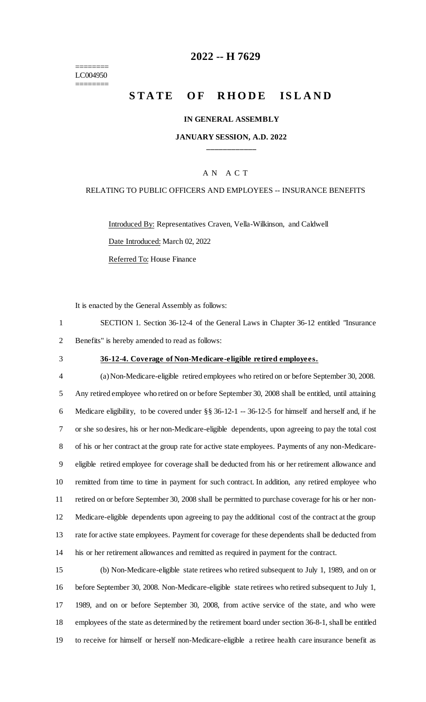======== LC004950 ========

# **-- H 7629**

# **STATE OF RHODE ISLAND**

#### **IN GENERAL ASSEMBLY**

#### **JANUARY SESSION, A.D. 2022 \_\_\_\_\_\_\_\_\_\_\_\_**

### A N A C T

#### RELATING TO PUBLIC OFFICERS AND EMPLOYEES -- INSURANCE BENEFITS

Introduced By: Representatives Craven, Vella-Wilkinson, and Caldwell Date Introduced: March 02, 2022

Referred To: House Finance

It is enacted by the General Assembly as follows:

 SECTION 1. Section 36-12-4 of the General Laws in Chapter 36-12 entitled "Insurance Benefits" is hereby amended to read as follows:

## **36-12-4. Coverage of Non-Medicare-eligible retired employees.**

 (a) Non-Medicare-eligible retired employees who retired on or before September 30, 2008. Any retired employee who retired on or before September 30, 2008 shall be entitled, until attaining Medicare eligibility, to be covered under §§ 36-12-1 -- 36-12-5 for himself and herself and, if he or she so desires, his or her non-Medicare-eligible dependents, upon agreeing to pay the total cost of his or her contract at the group rate for active state employees. Payments of any non-Medicare- eligible retired employee for coverage shall be deducted from his or her retirement allowance and remitted from time to time in payment for such contract. In addition, any retired employee who retired on or before September 30, 2008 shall be permitted to purchase coverage for his or her non- Medicare-eligible dependents upon agreeing to pay the additional cost of the contract at the group rate for active state employees. Payment for coverage for these dependents shall be deducted from his or her retirement allowances and remitted as required in payment for the contract.

 (b) Non-Medicare-eligible state retirees who retired subsequent to July 1, 1989, and on or before September 30, 2008. Non-Medicare-eligible state retirees who retired subsequent to July 1, 1989, and on or before September 30, 2008, from active service of the state, and who were employees of the state as determined by the retirement board under section 36-8-1, shall be entitled to receive for himself or herself non-Medicare-eligible a retiree health care insurance benefit as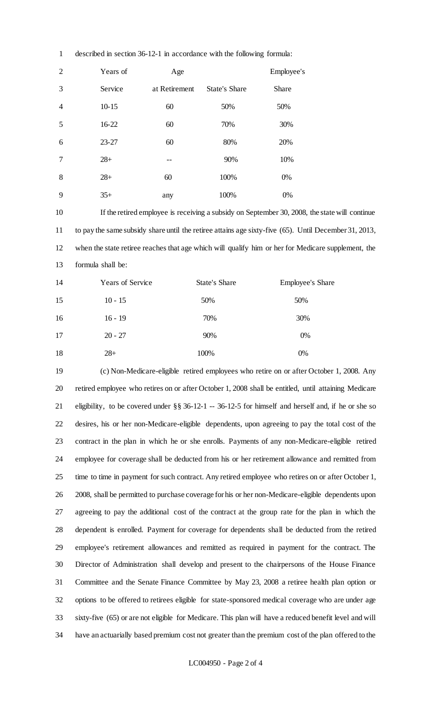| $\overline{2}$ | Years of  | Age           |                      | Employee's |
|----------------|-----------|---------------|----------------------|------------|
| 3              | Service   | at Retirement | <b>State's Share</b> | Share      |
| $\overline{4}$ | $10 - 15$ | 60            | 50%                  | 50%        |
| 5              | 16-22     | 60            | 70%                  | 30%        |
| 6              | $23 - 27$ | 60            | 80%                  | 20%        |
| 7              | $28+$     | --            | 90%                  | 10%        |
| 8              | $28+$     | 60            | 100%                 | 0%         |
| 9              | $35+$     | any           | 100%                 | 0%         |

described in section 36-12-1 in accordance with the following formula:

 If the retired employee is receiving a subsidy on September 30, 2008, the state will continue to pay the same subsidy share until the retiree attains age sixty-five (65). Until December 31, 2013, when the state retiree reaches that age which will qualify him or her for Medicare supplement, the formula shall be:

| 14 | Years of Service | <b>State's Share</b> | <b>Employee's Share</b> |
|----|------------------|----------------------|-------------------------|
| 15 | $10 - 15$        | 50%                  | 50%                     |
| 16 | $16 - 19$        | 70%                  | 30%                     |
| 17 | $20 - 27$        | 90%                  | 0%                      |
| 18 | $28+$            | 100%                 | 0%                      |

 (c) Non-Medicare-eligible retired employees who retire on or after October 1, 2008. Any retired employee who retires on or after October 1, 2008 shall be entitled, until attaining Medicare eligibility, to be covered under §§ 36-12-1 -- 36-12-5 for himself and herself and, if he or she so desires, his or her non-Medicare-eligible dependents, upon agreeing to pay the total cost of the contract in the plan in which he or she enrolls. Payments of any non-Medicare-eligible retired employee for coverage shall be deducted from his or her retirement allowance and remitted from time to time in payment for such contract. Any retired employee who retires on or after October 1, 2008, shall be permitted to purchase coverage for his or her non-Medicare-eligible dependents upon agreeing to pay the additional cost of the contract at the group rate for the plan in which the dependent is enrolled. Payment for coverage for dependents shall be deducted from the retired employee's retirement allowances and remitted as required in payment for the contract. The Director of Administration shall develop and present to the chairpersons of the House Finance Committee and the Senate Finance Committee by May 23, 2008 a retiree health plan option or options to be offered to retirees eligible for state-sponsored medical coverage who are under age sixty-five (65) or are not eligible for Medicare. This plan will have a reduced benefit level and will have an actuarially based premium cost not greater than the premium cost of the plan offered to the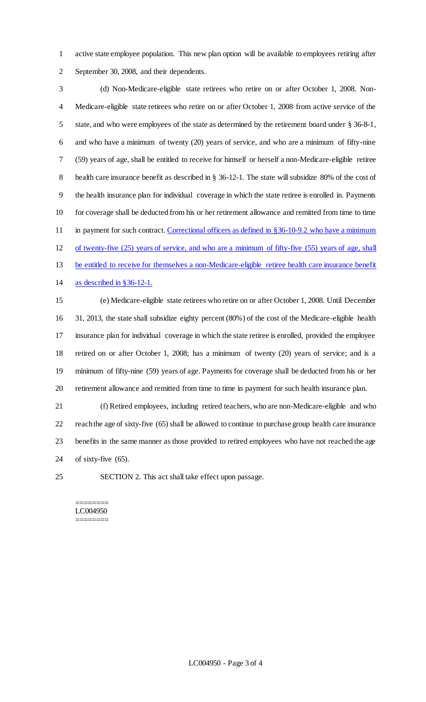active state employee population. This new plan option will be available to employees retiring after September 30, 2008, and their dependents.

 (d) Non-Medicare-eligible state retirees who retire on or after October 1, 2008. Non- Medicare-eligible state retirees who retire on or after October 1, 2008 from active service of the state, and who were employees of the state as determined by the retirement board under § 36-8-1, and who have a minimum of twenty (20) years of service, and who are a minimum of fifty-nine (59) years of age, shall be entitled to receive for himself or herself a non-Medicare-eligible retiree health care insurance benefit as described in § 36-12-1. The state will subsidize 80% of the cost of the health insurance plan for individual coverage in which the state retiree is enrolled in. Payments for coverage shall be deducted from his or her retirement allowance and remitted from time to time 11 in payment for such contract. Correctional officers as defined in §36-10-9.2 who have a minimum of twenty-five (25) years of service, and who are a minimum of fifty-five (55) years of age, shall be entitled to receive for themselves a non-Medicare-eligible retiree health care insurance benefit as described in §36-12-1.

 (e) Medicare-eligible state retirees who retire on or after October 1, 2008. Until December 31, 2013, the state shall subsidize eighty percent (80%) of the cost of the Medicare-eligible health insurance plan for individual coverage in which the state retiree is enrolled, provided the employee retired on or after October 1, 2008; has a minimum of twenty (20) years of service; and is a minimum of fifty-nine (59) years of age. Payments for coverage shall be deducted from his or her retirement allowance and remitted from time to time in payment for such health insurance plan.

 (f) Retired employees, including retired teachers, who are non-Medicare-eligible and who reach the age of sixty-five (65) shall be allowed to continue to purchase group health care insurance benefits in the same manner as those provided to retired employees who have not reached the age of sixty-five (65).

SECTION 2. This act shall take effect upon passage.

======== LC004950 ========